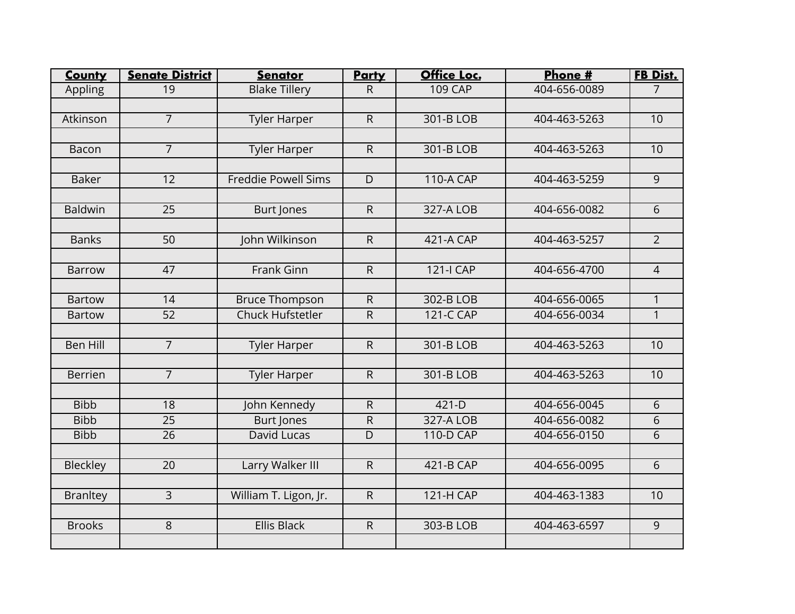| <b>County</b>   | <b>Senate District</b> | <b>Senator</b>             | <b>Party</b>   | Office Loc.      | Phone #      | <b>FB Dist.</b> |
|-----------------|------------------------|----------------------------|----------------|------------------|--------------|-----------------|
| Appling         | 19                     | <b>Blake Tillery</b>       | $\mathsf{R}$   | <b>109 CAP</b>   | 404-656-0089 | $\overline{7}$  |
|                 |                        |                            |                |                  |              |                 |
| Atkinson        | $\overline{7}$         | <b>Tyler Harper</b>        | $\mathsf{R}$   | 301-B LOB        | 404-463-5263 | 10              |
|                 |                        |                            |                |                  |              |                 |
| Bacon           | $\overline{7}$         | <b>Tyler Harper</b>        | $\overline{R}$ | 301-B LOB        | 404-463-5263 | 10              |
|                 |                        |                            |                |                  |              |                 |
| <b>Baker</b>    | 12                     | <b>Freddie Powell Sims</b> | D              | <b>110-A CAP</b> | 404-463-5259 | 9               |
|                 |                        |                            |                |                  |              |                 |
| <b>Baldwin</b>  | 25                     | Burt Jones                 | $\mathsf{R}$   | 327-A LOB        | 404-656-0082 | 6               |
|                 |                        |                            |                |                  |              |                 |
| <b>Banks</b>    | 50                     | John Wilkinson             | $\overline{R}$ | 421-A CAP        | 404-463-5257 | $\overline{2}$  |
|                 |                        |                            |                |                  |              |                 |
| <b>Barrow</b>   | 47                     | Frank Ginn                 | $\mathsf{R}$   | <b>121-I CAP</b> | 404-656-4700 | $\overline{4}$  |
| <b>Bartow</b>   | 14                     | <b>Bruce Thompson</b>      | ${\sf R}$      | 302-B LOB        | 404-656-0065 | $\mathbf{1}$    |
| <b>Bartow</b>   | 52                     | <b>Chuck Hufstetler</b>    | $\mathsf{R}$   | 121-C CAP        | 404-656-0034 | $\mathbf{1}$    |
|                 |                        |                            |                |                  |              |                 |
| <b>Ben Hill</b> | $\overline{7}$         | <b>Tyler Harper</b>        | ${\sf R}$      | 301-B LOB        | 404-463-5263 | 10              |
|                 |                        |                            |                |                  |              |                 |
| Berrien         | $\overline{7}$         | <b>Tyler Harper</b>        | $\overline{R}$ | 301-B LOB        | 404-463-5263 | 10              |
|                 |                        |                            |                |                  |              |                 |
| <b>Bibb</b>     | 18                     | John Kennedy               | $\mathsf{R}$   | $421-D$          | 404-656-0045 | 6               |
| <b>Bibb</b>     | $\overline{25}$        | <b>Burt Jones</b>          | $\mathsf R$    | 327-A LOB        | 404-656-0082 | 6               |
| <b>Bibb</b>     | 26                     | David Lucas                | D              | 110-D CAP        | 404-656-0150 | 6               |
|                 |                        |                            |                |                  |              |                 |
| Bleckley        | 20                     | Larry Walker III           | $\mathsf R$    | 421-B CAP        | 404-656-0095 | 6               |
|                 |                        |                            |                |                  |              |                 |
| <b>Branltey</b> | $\overline{3}$         | William T. Ligon, Jr.      | $\mathsf{R}$   | <b>121-H CAP</b> | 404-463-1383 | 10              |
|                 |                        |                            |                |                  |              |                 |
| <b>Brooks</b>   | $\overline{8}$         | <b>Ellis Black</b>         | $\overline{R}$ | 303-B LOB        | 404-463-6597 | $\overline{9}$  |
|                 |                        |                            |                |                  |              |                 |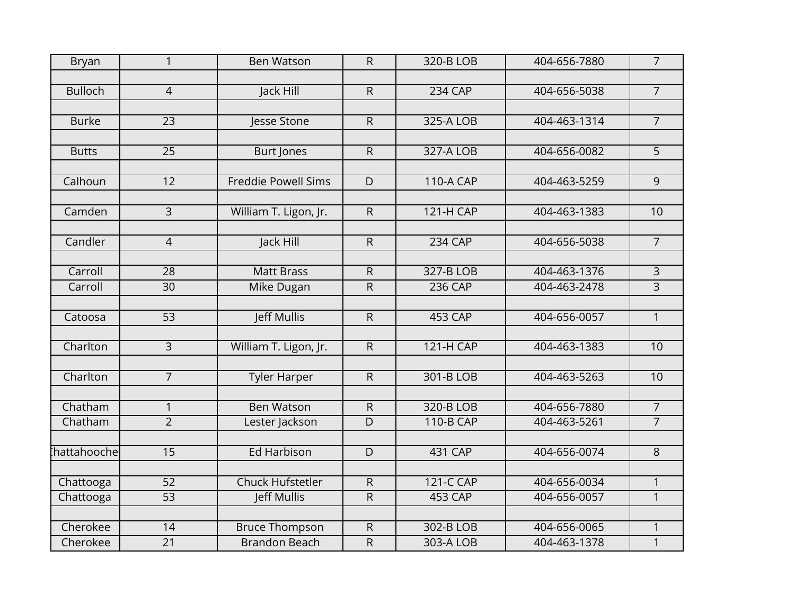| <b>Bryan</b>       | $\overline{1}$  | <b>Ben Watson</b>          | $\overline{R}$ | 320-B LOB        | 404-656-7880 | $\overline{7}$ |
|--------------------|-----------------|----------------------------|----------------|------------------|--------------|----------------|
|                    |                 |                            |                |                  |              |                |
| <b>Bulloch</b>     | $\overline{4}$  | Jack Hill                  | $\overline{R}$ | <b>234 CAP</b>   | 404-656-5038 | $\overline{7}$ |
|                    |                 |                            |                |                  |              |                |
| <b>Burke</b>       | $\overline{23}$ | Jesse Stone                | $\mathsf R$    | 325-A LOB        | 404-463-1314 | $\overline{7}$ |
|                    |                 |                            |                |                  |              |                |
| <b>Butts</b>       | $\overline{25}$ | <b>Burt Jones</b>          | $\overline{R}$ | 327-A LOB        | 404-656-0082 | $\overline{5}$ |
|                    |                 |                            |                |                  |              |                |
| Calhoun            | $\overline{12}$ | <b>Freddie Powell Sims</b> | $\overline{D}$ | <b>110-A CAP</b> | 404-463-5259 | $\overline{9}$ |
|                    |                 |                            |                |                  |              |                |
| Camden             | $\overline{3}$  | William T. Ligon, Jr.      | $\overline{R}$ | <b>121-H CAP</b> | 404-463-1383 | 10             |
|                    |                 |                            |                |                  |              |                |
| Candler            | $\overline{4}$  | Jack Hill                  | $\overline{R}$ | <b>234 CAP</b>   | 404-656-5038 | $\overline{7}$ |
|                    |                 |                            |                |                  |              |                |
| Carroll            | $\overline{28}$ | <b>Matt Brass</b>          | $\overline{R}$ | 327-B LOB        | 404-463-1376 | $\overline{3}$ |
| Carroll            | $\overline{30}$ | <b>Mike Dugan</b>          | R              | <b>236 CAP</b>   | 404-463-2478 | $\overline{3}$ |
|                    |                 |                            |                |                  |              |                |
| Catoosa            | $\overline{53}$ | <b>Jeff Mullis</b>         | $\overline{R}$ | <b>453 CAP</b>   | 404-656-0057 | $\overline{1}$ |
|                    |                 |                            |                |                  |              |                |
| Charlton           | $\overline{3}$  | William T. Ligon, Jr.      | $\mathsf{R}$   | <b>121-H CAP</b> | 404-463-1383 | 10             |
|                    |                 |                            |                |                  |              |                |
| Charlton           | $\overline{7}$  | <b>Tyler Harper</b>        | $\overline{R}$ | 301-B LOB        | 404-463-5263 | 10             |
|                    |                 |                            |                |                  |              |                |
| Chatham            | $\mathbf{1}$    | <b>Ben Watson</b>          | $\overline{R}$ | 320-B LOB        | 404-656-7880 | $\overline{7}$ |
| Chatham            | $\overline{2}$  | Lester Jackson             | $\mathsf{D}$   | 110-B CAP        | 404-463-5261 | $\overline{7}$ |
|                    |                 |                            |                |                  |              |                |
| <b>hattahooche</b> | 15              | <b>Ed Harbison</b>         | $\overline{D}$ | <b>431 CAP</b>   | 404-656-0074 | $\overline{8}$ |
|                    |                 |                            |                |                  |              |                |
| Chattooga          | 52              | <b>Chuck Hufstetler</b>    | $\overline{R}$ | <b>121-C CAP</b> | 404-656-0034 | $\overline{1}$ |
| Chattooga          | $\overline{53}$ | <b>Jeff Mullis</b>         | R              | <b>453 CAP</b>   | 404-656-0057 | $\overline{1}$ |
|                    |                 |                            |                |                  |              |                |
| Cherokee           | 14              | <b>Bruce Thompson</b>      | R              | 302-B LOB        | 404-656-0065 | $\mathbf{1}$   |
| Cherokee           | $\overline{21}$ | <b>Brandon Beach</b>       | $\overline{R}$ | 303-A LOB        | 404-463-1378 | $\overline{1}$ |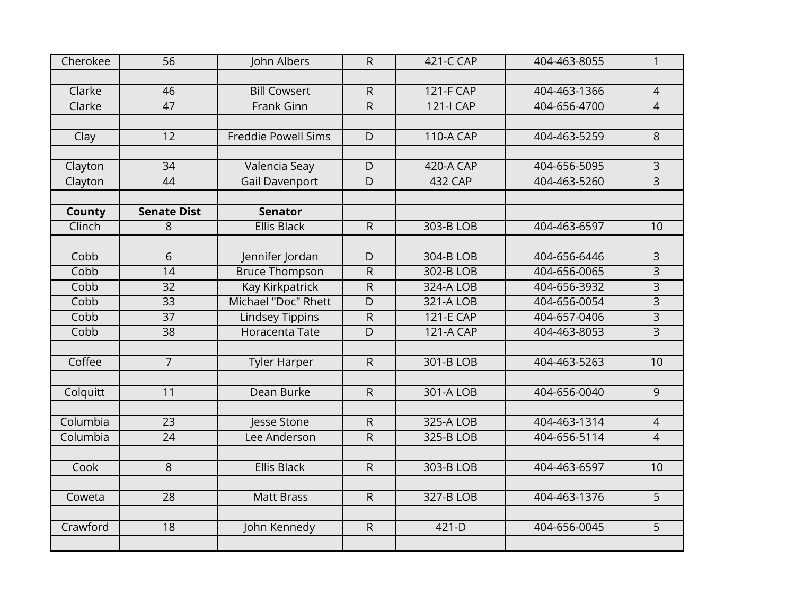| Cherokee      | $\overline{56}$    | John Albers                | $\mathsf{R}$   | 421-C CAP        | 404-463-8055 | $\mathbf{1}$            |
|---------------|--------------------|----------------------------|----------------|------------------|--------------|-------------------------|
|               |                    |                            |                |                  |              |                         |
| Clarke        | 46                 | <b>Bill Cowsert</b>        | $\overline{R}$ | 121-F CAP        | 404-463-1366 | $\overline{4}$          |
| Clarke        | 47                 | <b>Frank Ginn</b>          | $\overline{R}$ | <b>121-I CAP</b> | 404-656-4700 | $\overline{4}$          |
|               |                    |                            |                |                  |              |                         |
| Clay          | $\overline{12}$    | <b>Freddie Powell Sims</b> | $\overline{D}$ | <b>110-A CAP</b> | 404-463-5259 | $\overline{\infty}$     |
|               |                    |                            |                |                  |              |                         |
| Clayton       | $\overline{34}$    | Valencia Seay              | $\overline{D}$ | <b>420-A CAP</b> | 404-656-5095 | $\overline{3}$          |
| Clayton       | 44                 | <b>Gail Davenport</b>      | $\overline{D}$ | <b>432 CAP</b>   | 404-463-5260 | $\overline{3}$          |
| <b>County</b> | <b>Senate Dist</b> | <b>Senator</b>             |                |                  |              |                         |
| Clinch        | 8                  | <b>Ellis Black</b>         | $\overline{R}$ | 303-B LOB        | 404-463-6597 | 10                      |
|               |                    |                            |                |                  |              |                         |
| Cobb          | 6                  | Jennifer Jordan            | D              | 304-B LOB        | 404-656-6446 | $\overline{\mathbf{3}}$ |
| Cobb          | $\overline{14}$    | <b>Bruce Thompson</b>      | $\overline{R}$ | 302-B LOB        | 404-656-0065 | $\overline{3}$          |
| Cobb          | $\overline{32}$    | <b>Kay Kirkpatrick</b>     | $\overline{R}$ | 324-A LOB        | 404-656-3932 | $\overline{3}$          |
| Cobb          | $\overline{33}$    | Michael "Doc" Rhett        | $\overline{D}$ | 321-A LOB        | 404-656-0054 | $\overline{3}$          |
| Cobb          | $\overline{37}$    | <b>Lindsey Tippins</b>     | $\overline{R}$ | <b>121-E CAP</b> | 404-657-0406 | $\overline{3}$          |
| Cobb          | $\overline{38}$    | Horacenta Tate             | $\overline{D}$ | <b>121-A CAP</b> | 404-463-8053 | $\overline{3}$          |
|               |                    |                            |                |                  |              |                         |
| Coffee        | $\overline{7}$     | <b>Tyler Harper</b>        | $\overline{R}$ | 301-B LOB        | 404-463-5263 | 10                      |
|               |                    |                            |                |                  |              |                         |
| Colquitt      | 11                 | Dean Burke                 | $\overline{R}$ | 301-A LOB        | 404-656-0040 | $\overline{9}$          |
|               |                    |                            |                |                  |              |                         |
| Columbia      | 23                 | Jesse Stone                | $\overline{R}$ | 325-A LOB        | 404-463-1314 | $\overline{4}$          |
| Columbia      | $\overline{24}$    | Lee Anderson               | $\overline{R}$ | 325-B LOB        | 404-656-5114 | $\overline{4}$          |
| Cook          | $\overline{8}$     | <b>Ellis Black</b>         | $\overline{R}$ | 303-B LOB        | 404-463-6597 | 10                      |
|               |                    |                            |                |                  |              |                         |
| Coweta        | $\overline{28}$    | <b>Matt Brass</b>          | $\overline{R}$ | 327-B LOB        | 404-463-1376 | $\overline{5}$          |
|               |                    |                            |                |                  |              |                         |
| Crawford      | $\overline{18}$    | John Kennedy               | $\overline{R}$ | $421-D$          | 404-656-0045 | $\overline{5}$          |
|               |                    |                            |                |                  |              |                         |
|               |                    |                            |                |                  |              |                         |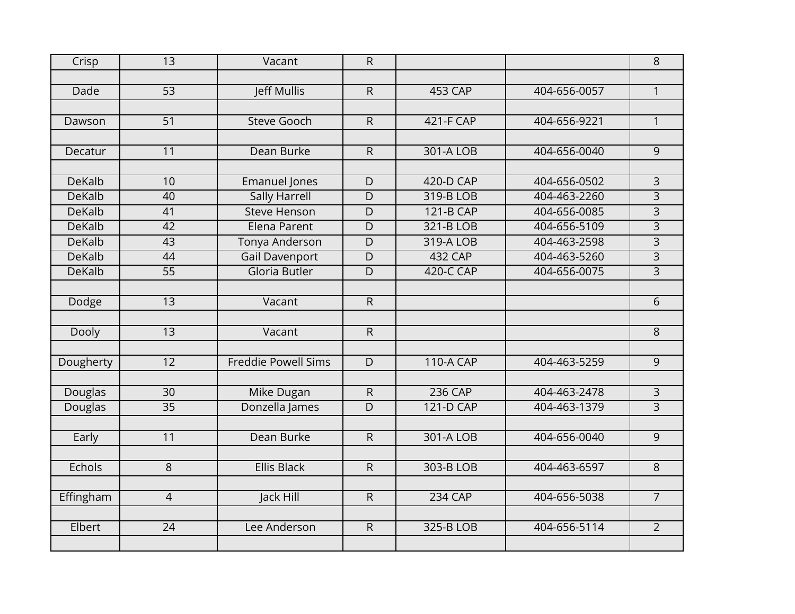| Crisp         | $\overline{13}$ | Vacant                     | $\overline{R}$ |                  |              | $\overline{8}$      |
|---------------|-----------------|----------------------------|----------------|------------------|--------------|---------------------|
|               |                 |                            |                |                  |              |                     |
| Dade          | $\overline{53}$ | <b>Jeff Mullis</b>         | $\overline{R}$ | <b>453 CAP</b>   | 404-656-0057 | $\mathbf{1}$        |
|               |                 |                            |                |                  |              |                     |
| Dawson        | $\overline{51}$ | <b>Steve Gooch</b>         | ${\sf R}$      | 421-F CAP        | 404-656-9221 | $\mathbf{1}$        |
|               |                 |                            |                |                  |              |                     |
| Decatur       | 11              | Dean Burke                 | $\overline{R}$ | 301-A LOB        | 404-656-0040 | $\overline{9}$      |
|               |                 |                            |                |                  |              |                     |
| <b>DeKalb</b> | 10              | <b>Emanuel Jones</b>       | $\overline{D}$ | 420-D CAP        | 404-656-0502 | $\overline{3}$      |
| DeKalb        | 40              | <b>Sally Harrell</b>       | D              | 319-B LOB        | 404-463-2260 | $\overline{\omega}$ |
| <b>DeKalb</b> | $\overline{41}$ | <b>Steve Henson</b>        | $\overline{D}$ | <b>121-B CAP</b> | 404-656-0085 | $\overline{3}$      |
| <b>DeKalb</b> | 42              | Elena Parent               | D              | 321-B LOB        | 404-656-5109 | $\overline{3}$      |
| <b>DeKalb</b> | 43              | Tonya Anderson             | D              | 319-A LOB        | 404-463-2598 | $\overline{3}$      |
| <b>DeKalb</b> | 44              | <b>Gail Davenport</b>      | D              | <b>432 CAP</b>   | 404-463-5260 | $\overline{3}$      |
| <b>DeKalb</b> | $\overline{55}$ | Gloria Butler              | $\overline{D}$ | <b>420-C CAP</b> | 404-656-0075 | $\overline{3}$      |
|               |                 |                            |                |                  |              |                     |
| Dodge         | 13              | Vacant                     | $\overline{R}$ |                  |              | $\overline{6}$      |
|               |                 |                            |                |                  |              |                     |
| Dooly         | $\overline{13}$ | Vacant                     | $\overline{R}$ |                  |              | $\overline{8}$      |
|               |                 |                            |                |                  |              |                     |
| Dougherty     | $\overline{12}$ | <b>Freddie Powell Sims</b> | $\overline{D}$ | <b>110-A CAP</b> | 404-463-5259 | $\overline{9}$      |
|               |                 |                            |                |                  |              |                     |
| Douglas       | $\overline{30}$ | Mike Dugan                 | $\overline{R}$ | <b>236 CAP</b>   | 404-463-2478 | $\overline{3}$      |
| Douglas       | $\overline{35}$ | Donzella James             | $\overline{D}$ | <b>121-D CAP</b> | 404-463-1379 | $\overline{3}$      |
|               |                 |                            |                |                  |              |                     |
| Early         | 11              | Dean Burke                 | $\overline{R}$ | 301-A LOB        | 404-656-0040 | $\overline{9}$      |
|               |                 |                            |                |                  |              |                     |
| Echols        | 8               | <b>Ellis Black</b>         | $\overline{R}$ | 303-B LOB        | 404-463-6597 | $\overline{8}$      |
|               |                 |                            |                |                  |              |                     |
| Effingham     | $\overline{4}$  | Jack Hill                  | $\overline{R}$ | <b>234 CAP</b>   | 404-656-5038 | $\overline{7}$      |
|               |                 |                            |                |                  |              |                     |
| Elbert        | 24              | Lee Anderson               | $\overline{R}$ | 325-B LOB        | 404-656-5114 | $\overline{2}$      |
|               |                 |                            |                |                  |              |                     |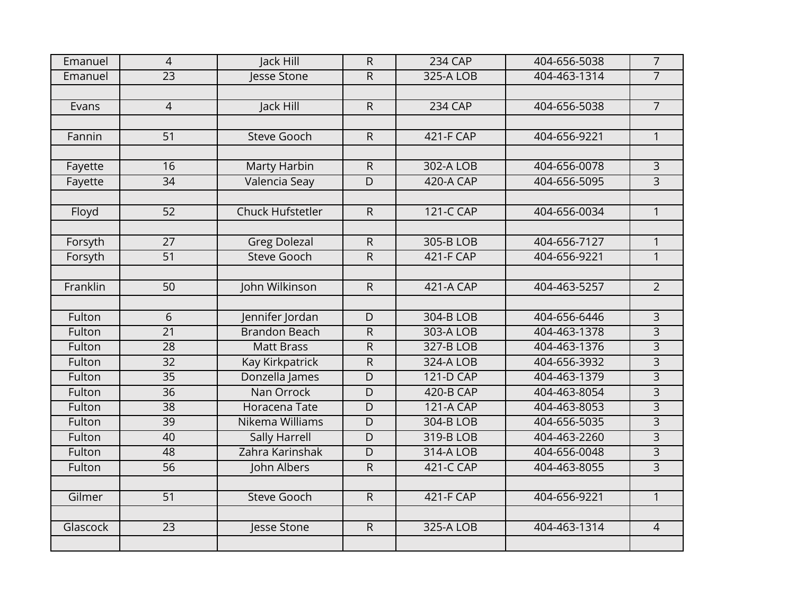| Emanuel  | $\overline{4}$  | Jack Hill               | $\mathsf{R}$   | <b>234 CAP</b>   | 404-656-5038 | $\overline{7}$          |
|----------|-----------------|-------------------------|----------------|------------------|--------------|-------------------------|
| Emanuel  | $\overline{23}$ | Jesse Stone             | $\overline{R}$ | 325-A LOB        | 404-463-1314 | $\overline{7}$          |
|          |                 |                         |                |                  |              |                         |
| Evans    | $\overline{4}$  | Jack Hill               | $\overline{R}$ | <b>234 CAP</b>   | 404-656-5038 | $\overline{7}$          |
|          |                 |                         |                |                  |              |                         |
| Fannin   | $\overline{51}$ | <b>Steve Gooch</b>      | $\overline{R}$ | 421-F CAP        | 404-656-9221 | $\mathbf{1}$            |
|          |                 |                         |                |                  |              |                         |
| Fayette  | 16              | Marty Harbin            | $\mathsf{R}$   | 302-A LOB        | 404-656-0078 | $\overline{\mathbf{3}}$ |
| Fayette  | 34              | Valencia Seay           | $\overline{D}$ | <b>420-A CAP</b> | 404-656-5095 | $\overline{3}$          |
|          |                 |                         |                |                  |              |                         |
| Floyd    | 52              | <b>Chuck Hufstetler</b> | $\overline{R}$ | <b>121-C CAP</b> | 404-656-0034 | $\overline{1}$          |
|          |                 |                         |                |                  |              |                         |
| Forsyth  | 27              | <b>Greg Dolezal</b>     | $\mathsf{R}$   | 305-B LOB        | 404-656-7127 | $\mathbf{1}$            |
| Forsyth  | 51              | <b>Steve Gooch</b>      | $\overline{R}$ | 421-F CAP        | 404-656-9221 | $\overline{1}$          |
|          |                 |                         |                |                  |              |                         |
| Franklin | 50              | John Wilkinson          | $\overline{R}$ | <b>421-A CAP</b> | 404-463-5257 | $\overline{2}$          |
|          |                 |                         |                |                  |              |                         |
| Fulton   | 6               | Jennifer Jordan         | D              | 304-B LOB        | 404-656-6446 | $\overline{3}$          |
| Fulton   | $\overline{21}$ | <b>Brandon Beach</b>    | $\overline{R}$ | 303-A LOB        | 404-463-1378 | $\overline{3}$          |
| Fulton   | $\overline{28}$ | <b>Matt Brass</b>       | $\overline{R}$ | 327-B LOB        | 404-463-1376 | $\overline{3}$          |
| Fulton   | $\overline{32}$ | Kay Kirkpatrick         | $\overline{R}$ | 324-A LOB        | 404-656-3932 | $\overline{3}$          |
| Fulton   | $\overline{35}$ | Donzella James          | $\overline{D}$ | <b>121-D CAP</b> | 404-463-1379 | $\overline{3}$          |
| Fulton   | $\overline{36}$ | Nan Orrock              | $\overline{D}$ | 420-B CAP        | 404-463-8054 | $\overline{3}$          |
| Fulton   | $\overline{38}$ | Horacena Tate           | $\overline{D}$ | <b>121-A CAP</b> | 404-463-8053 | $\overline{3}$          |
| Fulton   | 39              | Nikema Williams         | $\overline{D}$ | 304-B LOB        | 404-656-5035 | $\overline{3}$          |
| Fulton   | 40              | <b>Sally Harrell</b>    | $\overline{D}$ | 319-B LOB        | 404-463-2260 | $\overline{3}$          |
| Fulton   | 48              | Zahra Karinshak         | $\overline{D}$ | 314-A LOB        | 404-656-0048 | $\overline{3}$          |
| Fulton   | $\overline{56}$ | John Albers             | $\overline{R}$ | 421-C CAP        | 404-463-8055 | $\overline{3}$          |
|          |                 |                         |                |                  |              |                         |
| Gilmer   | 51              | <b>Steve Gooch</b>      | $\overline{R}$ | 421-F CAP        | 404-656-9221 | $\overline{1}$          |
|          |                 |                         |                |                  |              |                         |
| Glascock | 23              | Jesse Stone             | $\overline{R}$ | 325-A LOB        | 404-463-1314 | $\overline{4}$          |
|          |                 |                         |                |                  |              |                         |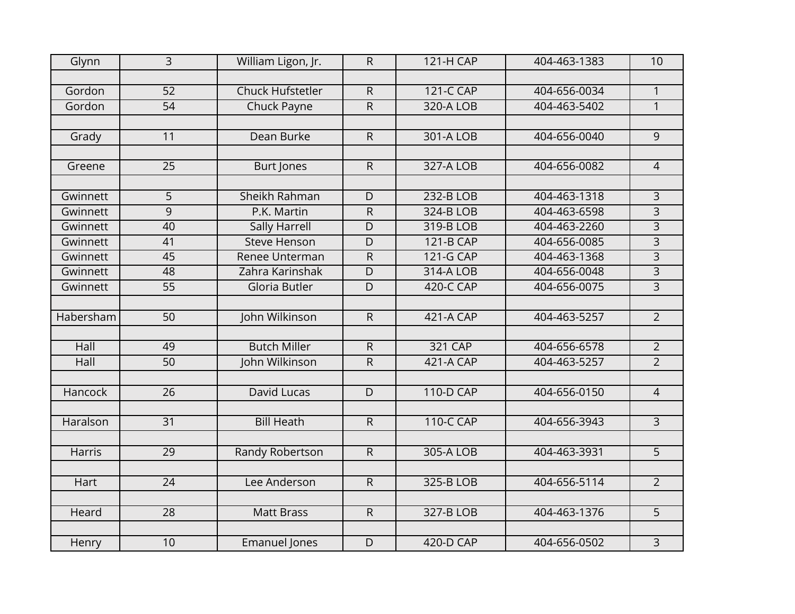| Glynn          | $\overline{3}$  | William Ligon, Jr.      | $\mathsf R$    | 121-H CAP        | 404-463-1383 | 10                  |
|----------------|-----------------|-------------------------|----------------|------------------|--------------|---------------------|
|                |                 |                         |                |                  |              |                     |
| Gordon         | $\overline{52}$ | <b>Chuck Hufstetler</b> | $\overline{R}$ | <b>121-C CAP</b> | 404-656-0034 | $\overline{1}$      |
| Gordon         | 54              | <b>Chuck Payne</b>      | $\overline{R}$ | 320-A LOB        | 404-463-5402 | $\mathbf{1}$        |
|                |                 |                         |                |                  |              |                     |
| Grady          | 11              | Dean Burke              | ${\sf R}$      | 301-A LOB        | 404-656-0040 | 9                   |
|                |                 |                         |                |                  |              |                     |
| Greene         | $\overline{25}$ | <b>Burt Jones</b>       | $\overline{R}$ | 327-A LOB        | 404-656-0082 | $\overline{4}$      |
|                |                 |                         |                |                  |              |                     |
| Gwinnett       | $\overline{5}$  | Sheikh Rahman           | D              | 232-B LOB        | 404-463-1318 | $\overline{3}$      |
| Gwinnett       | $\overline{9}$  | P.K. Martin             | $\overline{R}$ | 324-B LOB        | 404-463-6598 | $\overline{3}$      |
| Gwinnett       | 40              | <b>Sally Harrell</b>    | $\overline{D}$ | 319-B LOB        | 404-463-2260 | $\overline{3}$      |
| Gwinnett       | 41              | <b>Steve Henson</b>     | $\overline{D}$ | <b>121-B CAP</b> | 404-656-0085 | $\overline{3}$      |
| Gwinnett       | 45              | Renee Unterman          | $\overline{R}$ | 121-G CAP        | 404-463-1368 | $\overline{3}$      |
| Gwinnett       | 48              | Zahra Karinshak         | $\overline{D}$ | 314-A LOB        | 404-656-0048 | $\overline{3}$      |
| Gwinnett       | $\overline{55}$ | Gloria Butler           | $\overline{D}$ | <b>420-C CAP</b> | 404-656-0075 | $\overline{3}$      |
|                |                 |                         |                |                  |              |                     |
| Habersham      | 50              | John Wilkinson          | $\overline{R}$ | <b>421-A CAP</b> | 404-463-5257 | $\overline{2}$      |
|                |                 |                         |                |                  |              |                     |
| Hall           | 49              | <b>Butch Miller</b>     | $\overline{R}$ | 321 CAP          | 404-656-6578 | $\overline{2}$      |
| Hall           | 50              | John Wilkinson          | $\mathsf R$    | 421-A CAP        | 404-463-5257 | $\overline{2}$      |
|                |                 |                         |                |                  |              |                     |
| <b>Hancock</b> | $\overline{26}$ | <b>David Lucas</b>      | $\overline{D}$ | <b>110-D CAP</b> | 404-656-0150 | $\overline{4}$      |
|                |                 |                         |                |                  |              |                     |
| Haralson       | $\overline{31}$ | <b>Bill Heath</b>       | $\overline{R}$ | <b>110-C CAP</b> | 404-656-3943 | $\overline{\omega}$ |
|                |                 |                         |                |                  |              |                     |
| <b>Harris</b>  | 29              | Randy Robertson         | $\overline{R}$ | 305-A LOB        | 404-463-3931 | $\overline{5}$      |
|                |                 |                         |                |                  |              |                     |
| Hart           | $\overline{24}$ | Lee Anderson            | $\overline{R}$ | 325-B LOB        | 404-656-5114 | $\overline{2}$      |
|                |                 |                         |                |                  |              |                     |
| Heard          | 28              | <b>Matt Brass</b>       | $\overline{R}$ | 327-B LOB        | 404-463-1376 | $\overline{5}$      |
|                |                 |                         |                |                  |              |                     |
| Henry          | 10              | <b>Emanuel Jones</b>    | $\overline{D}$ | 420-D CAP        | 404-656-0502 | $\overline{3}$      |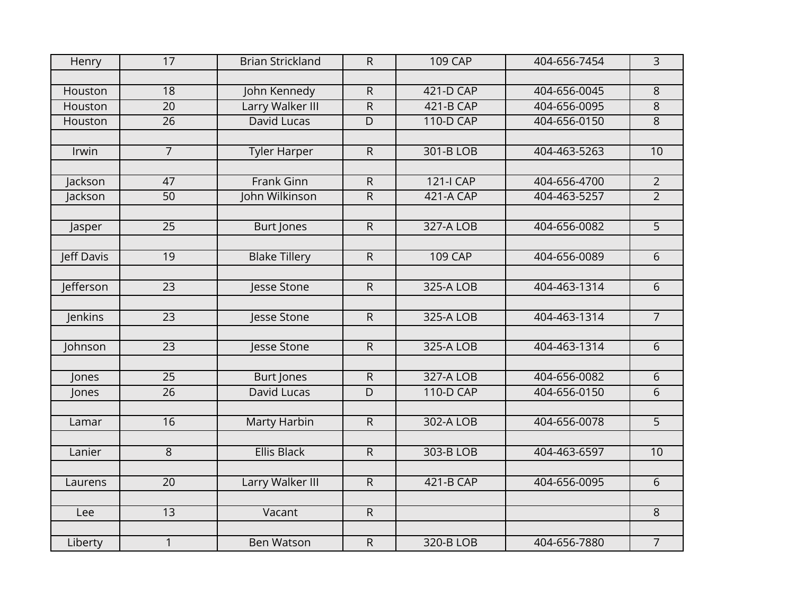| Henry      | $\overline{17}$ | <b>Brian Strickland</b> | $\overline{R}$ | <b>109 CAP</b>   | 404-656-7454 | $\overline{3}$      |
|------------|-----------------|-------------------------|----------------|------------------|--------------|---------------------|
|            |                 |                         |                |                  |              |                     |
| Houston    | 18              | John Kennedy            | $\overline{R}$ | 421-D CAP        | 404-656-0045 | $\overline{8}$      |
| Houston    | $\overline{20}$ | Larry Walker III        | $\overline{R}$ | 421-B CAP        | 404-656-0095 | $\overline{\infty}$ |
| Houston    | 26              | David Lucas             | $\overline{D}$ | <b>110-D CAP</b> | 404-656-0150 | $\overline{8}$      |
|            |                 |                         |                |                  |              |                     |
| Irwin      | $\overline{7}$  | <b>Tyler Harper</b>     | $\overline{R}$ | 301-B LOB        | 404-463-5263 | 10                  |
|            |                 |                         |                |                  |              |                     |
| Jackson    | 47              | <b>Frank Ginn</b>       | $\overline{R}$ | <b>121-I CAP</b> | 404-656-4700 | $\overline{2}$      |
| Jackson    | 50              | John Wilkinson          | $\overline{R}$ | <b>421-A CAP</b> | 404-463-5257 | $\overline{2}$      |
|            |                 |                         |                |                  |              |                     |
| Jasper     | $\overline{25}$ | <b>Burt Jones</b>       | $\overline{R}$ | 327-A LOB        | 404-656-0082 | $\overline{5}$      |
|            |                 |                         |                |                  |              |                     |
| Jeff Davis | $\overline{19}$ | <b>Blake Tillery</b>    | $\overline{R}$ | <b>109 CAP</b>   | 404-656-0089 | $\overline{6}$      |
|            |                 |                         |                |                  |              |                     |
| Jefferson  | $\overline{23}$ | Jesse Stone             | $\overline{R}$ | 325-A LOB        | 404-463-1314 | $\overline{6}$      |
| Jenkins    | $\overline{23}$ | Jesse Stone             | $\overline{R}$ | 325-A LOB        | 404-463-1314 | $\overline{7}$      |
|            |                 |                         |                |                  |              |                     |
| Johnson    | 23              | Jesse Stone             | $\overline{R}$ | 325-A LOB        | 404-463-1314 | $\overline{6}$      |
|            |                 |                         |                |                  |              |                     |
| Jones      | $\overline{25}$ | <b>Burt Jones</b>       | $\overline{R}$ | 327-A LOB        | 404-656-0082 | $\overline{6}$      |
| Jones      | $\overline{26}$ | David Lucas             | $\overline{D}$ | <b>110-D CAP</b> | 404-656-0150 | 6                   |
|            |                 |                         |                |                  |              |                     |
| Lamar      | 16              | <b>Marty Harbin</b>     | $\overline{R}$ | 302-A LOB        | 404-656-0078 | $\overline{5}$      |
|            |                 |                         |                |                  |              |                     |
| Lanier     | $\overline{8}$  | <b>Ellis Black</b>      | $\overline{R}$ | 303-B LOB        | 404-463-6597 | 10                  |
|            |                 |                         |                |                  |              |                     |
| Laurens    | $\overline{20}$ | Larry Walker III        | $\overline{R}$ | 421-B CAP        | 404-656-0095 | $\overline{6}$      |
|            |                 |                         |                |                  |              |                     |
| Lee        | $\overline{13}$ | Vacant                  | $\overline{R}$ |                  |              | $\overline{8}$      |
|            |                 |                         |                |                  |              |                     |
| Liberty    | $\overline{1}$  | <b>Ben Watson</b>       | $\overline{R}$ | 320-B LOB        | 404-656-7880 | $\overline{7}$      |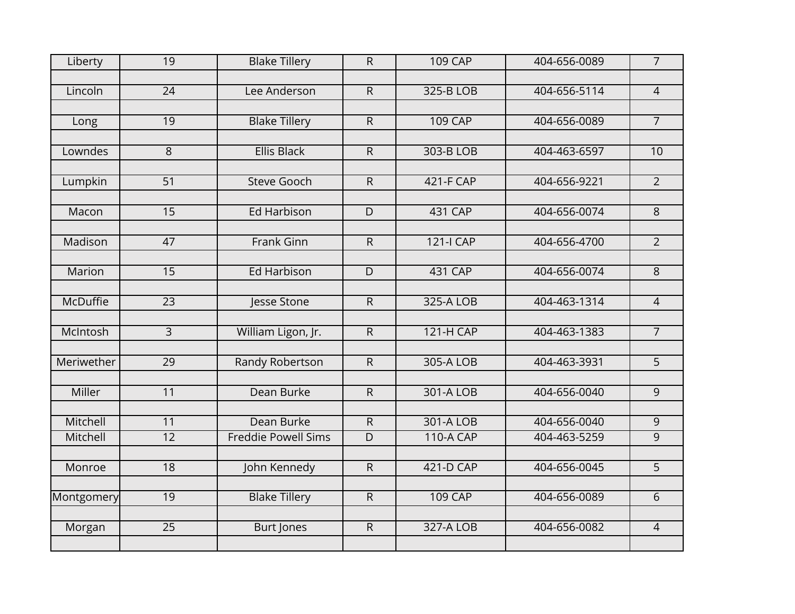| Liberty         | 19              | <b>Blake Tillery</b>       | $\overline{R}$ | <b>109 CAP</b>   | 404-656-0089 | $\overline{7}$ |
|-----------------|-----------------|----------------------------|----------------|------------------|--------------|----------------|
|                 |                 |                            |                |                  |              |                |
| Lincoln         | $\overline{24}$ | Lee Anderson               | $\overline{R}$ | 325-B LOB        | 404-656-5114 | $\overline{4}$ |
|                 |                 |                            |                |                  |              |                |
| Long            | 19              | <b>Blake Tillery</b>       | $\mathsf{R}$   | <b>109 CAP</b>   | 404-656-0089 | $\overline{7}$ |
|                 |                 |                            |                |                  |              |                |
| Lowndes         | $\overline{8}$  | <b>Ellis Black</b>         | $\overline{R}$ | 303-B LOB        | 404-463-6597 | 10             |
|                 |                 |                            |                |                  |              |                |
| Lumpkin         | 51              | <b>Steve Gooch</b>         | $\overline{R}$ | 421-F CAP        | 404-656-9221 | $\overline{2}$ |
|                 |                 |                            |                |                  |              |                |
| Macon           | 15              | <b>Ed Harbison</b>         | $\overline{D}$ | <b>431 CAP</b>   | 404-656-0074 | $\overline{8}$ |
|                 |                 |                            |                |                  |              |                |
| Madison         | 47              | <b>Frank Ginn</b>          | $\overline{R}$ | <b>121-I CAP</b> | 404-656-4700 | $\overline{2}$ |
|                 |                 |                            |                |                  |              |                |
| Marion          | 15              | <b>Ed Harbison</b>         | $\overline{D}$ | <b>431 CAP</b>   | 404-656-0074 | $\overline{8}$ |
|                 |                 |                            |                |                  |              |                |
| <b>McDuffie</b> | $\overline{23}$ | Jesse Stone                | $\overline{R}$ | 325-A LOB        | 404-463-1314 | $\overline{4}$ |
|                 |                 |                            |                |                  |              |                |
| McIntosh        | $\overline{3}$  | William Ligon, Jr.         | $\overline{R}$ | <b>121-H CAP</b> | 404-463-1383 | $\overline{7}$ |
|                 |                 |                            |                |                  |              |                |
| Meriwether      | 29              | <b>Randy Robertson</b>     | $\overline{R}$ | 305-A LOB        | 404-463-3931 | $\overline{5}$ |
| Miller          | 11              | Dean Burke                 | $\overline{R}$ | 301-A LOB        | 404-656-0040 | $\overline{9}$ |
|                 |                 |                            |                |                  |              |                |
| Mitchell        | 11              | Dean Burke                 | $\mathsf{R}$   | 301-A LOB        | 404-656-0040 | 9              |
| Mitchell        | 12              | <b>Freddie Powell Sims</b> | $\overline{D}$ | <b>110-A CAP</b> | 404-463-5259 | $\overline{9}$ |
|                 |                 |                            |                |                  |              |                |
| Monroe          | $\overline{18}$ | John Kennedy               | $\overline{R}$ | 421-D CAP        | 404-656-0045 | $\overline{5}$ |
|                 |                 |                            |                |                  |              |                |
| Montgomery      | 19              | <b>Blake Tillery</b>       | $\overline{R}$ | <b>109 CAP</b>   | 404-656-0089 | $\overline{6}$ |
|                 |                 |                            |                |                  |              |                |
| Morgan          | 25              | <b>Burt Jones</b>          | $\overline{R}$ | 327-A LOB        | 404-656-0082 | $\overline{4}$ |
|                 |                 |                            |                |                  |              |                |
|                 |                 |                            |                |                  |              |                |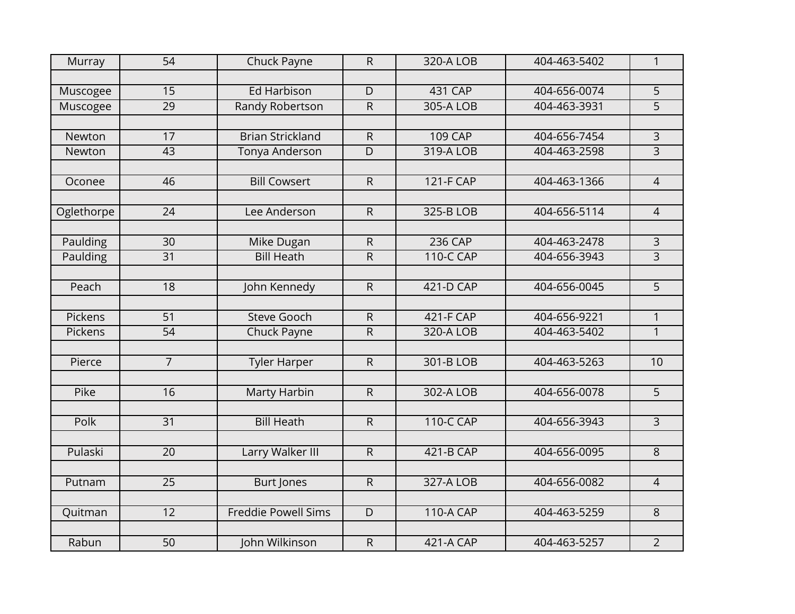| Murray     | $\overline{54}$ | Chuck Payne                | $\overline{R}$ | 320-A LOB        | 404-463-5402 | $\mathbf{1}$        |
|------------|-----------------|----------------------------|----------------|------------------|--------------|---------------------|
|            |                 |                            |                |                  |              |                     |
| Muscogee   | 15              | <b>Ed Harbison</b>         | $\overline{D}$ | <b>431 CAP</b>   | 404-656-0074 | $\overline{5}$      |
| Muscogee   | 29              | <b>Randy Robertson</b>     | $\overline{R}$ | 305-A LOB        | 404-463-3931 | $\overline{5}$      |
|            |                 |                            |                |                  |              |                     |
| Newton     | 17              | <b>Brian Strickland</b>    | $\mathsf R$    | <b>109 CAP</b>   | 404-656-7454 | $\mathsf{3}$        |
| Newton     | 43              | Tonya Anderson             | $\overline{D}$ | 319-A LOB        | 404-463-2598 | $\overline{3}$      |
|            |                 |                            |                |                  |              |                     |
| Oconee     | 46              | <b>Bill Cowsert</b>        | $\overline{R}$ | <b>121-F CAP</b> | 404-463-1366 | $\overline{4}$      |
|            |                 |                            |                |                  |              |                     |
| Oglethorpe | $\overline{24}$ | Lee Anderson               | $\overline{R}$ | 325-B LOB        | 404-656-5114 | $\overline{4}$      |
|            |                 |                            |                |                  |              |                     |
| Paulding   | 30              | Mike Dugan                 | $\mathsf{R}$   | <b>236 CAP</b>   | 404-463-2478 | $\overline{\omega}$ |
| Paulding   | $\overline{31}$ | <b>Bill Heath</b>          | $\overline{R}$ | <b>110-C CAP</b> | 404-656-3943 | $\overline{3}$      |
|            |                 |                            |                |                  |              |                     |
| Peach      | $\overline{18}$ | John Kennedy               | $\overline{R}$ | 421-D CAP        | 404-656-0045 | $\overline{5}$      |
|            |                 |                            |                |                  |              |                     |
| Pickens    | 51              | <b>Steve Gooch</b>         | $\overline{R}$ | 421-F CAP        | 404-656-9221 | $\overline{1}$      |
| Pickens    | 54              | <b>Chuck Payne</b>         | R              | 320-A LOB        | 404-463-5402 | $\mathbf{1}$        |
|            |                 |                            |                |                  |              |                     |
| Pierce     | $\overline{7}$  | <b>Tyler Harper</b>        | $\overline{R}$ | 301-B LOB        | 404-463-5263 | 10                  |
|            |                 |                            |                |                  |              |                     |
| Pike       | 16              | <b>Marty Harbin</b>        | $\overline{R}$ | 302-A LOB        | 404-656-0078 | $\overline{5}$      |
|            |                 |                            |                |                  |              |                     |
| Polk       | $\overline{31}$ | <b>Bill Heath</b>          | $\overline{R}$ | <b>110-C CAP</b> | 404-656-3943 | $\overline{3}$      |
|            |                 |                            |                |                  |              |                     |
| Pulaski    | $\overline{20}$ | Larry Walker III           | $\overline{R}$ | 421-B CAP        | 404-656-0095 | $\overline{8}$      |
|            |                 |                            |                |                  |              |                     |
| Putnam     | $\overline{25}$ | <b>Burt Jones</b>          | $\overline{R}$ | 327-A LOB        | 404-656-0082 | $\overline{4}$      |
|            |                 |                            |                |                  |              |                     |
| Quitman    | $\overline{12}$ | <b>Freddie Powell Sims</b> | $\overline{D}$ | <b>110-A CAP</b> | 404-463-5259 | $\overline{8}$      |
|            |                 |                            |                |                  |              |                     |
| Rabun      | 50              | John Wilkinson             | $\overline{R}$ | 421-A CAP        | 404-463-5257 | $\overline{2}$      |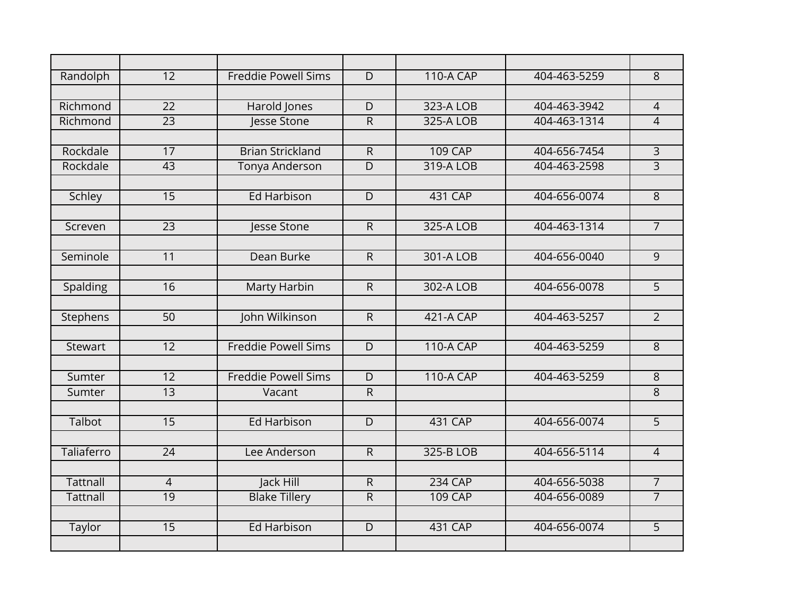| Randolph      | $\overline{12}$ | <b>Freddie Powell Sims</b> | $\overline{D}$ | <b>110-A CAP</b> | 404-463-5259 | $\overline{8}$ |
|---------------|-----------------|----------------------------|----------------|------------------|--------------|----------------|
|               |                 |                            |                |                  |              |                |
| Richmond      | $\overline{22}$ | Harold Jones               | D              | 323-A LOB        | 404-463-3942 | $\overline{4}$ |
| Richmond      | $\overline{23}$ | Jesse Stone                | $\overline{R}$ | 325-A LOB        | 404-463-1314 | $\overline{4}$ |
|               |                 |                            |                |                  |              |                |
| Rockdale      | $\overline{17}$ | <b>Brian Strickland</b>    | $\overline{R}$ | <b>109 CAP</b>   | 404-656-7454 | $\overline{3}$ |
| Rockdale      | $\overline{43}$ | Tonya Anderson             | $\overline{D}$ | 319-A LOB        | 404-463-2598 | $\overline{3}$ |
|               |                 |                            |                |                  |              |                |
| Schley        | 15              | <b>Ed Harbison</b>         | D              | <b>431 CAP</b>   | 404-656-0074 | $\overline{8}$ |
|               |                 |                            |                |                  |              |                |
| Screven       | $\overline{23}$ | Jesse Stone                | $\overline{R}$ | 325-A LOB        | 404-463-1314 | $\overline{7}$ |
|               |                 |                            |                |                  |              |                |
| Seminole      | $\overline{11}$ | Dean Burke                 | $\overline{R}$ | 301-A LOB        | 404-656-0040 | $\overline{9}$ |
|               | $\overline{16}$ | <b>Marty Harbin</b>        | $\overline{R}$ | 302-A LOB        | 404-656-0078 | $\overline{5}$ |
| Spalding      |                 |                            |                |                  |              |                |
| Stephens      | $\overline{50}$ | John Wilkinson             | $\overline{R}$ | 421-A CAP        | 404-463-5257 | $\overline{2}$ |
|               |                 |                            |                |                  |              |                |
| Stewart       | 12              | <b>Freddie Powell Sims</b> | D              | <b>110-A CAP</b> | 404-463-5259 | 8              |
|               |                 |                            |                |                  |              |                |
| Sumter        | 12              | <b>Freddie Powell Sims</b> | D              | <b>110-A CAP</b> | 404-463-5259 | 8              |
| Sumter        | $\overline{13}$ | Vacant                     | $\overline{R}$ |                  |              | $\overline{8}$ |
|               |                 |                            |                |                  |              |                |
| <b>Talbot</b> | 15              | <b>Ed Harbison</b>         | D              | <b>431 CAP</b>   | 404-656-0074 | $\overline{5}$ |
|               |                 |                            |                |                  |              |                |
| Taliaferro    | 24              | Lee Anderson               | $\overline{R}$ | 325-B LOB        | 404-656-5114 | $\overline{4}$ |
|               |                 |                            |                |                  |              |                |
| Tattnall      | $\overline{4}$  | Jack Hill                  | $\mathsf R$    | <b>234 CAP</b>   | 404-656-5038 | $\overline{7}$ |
| Tattnall      | $\overline{19}$ | <b>Blake Tillery</b>       | $\mathsf{R}$   | <b>109 CAP</b>   | 404-656-0089 | $\overline{7}$ |
|               |                 |                            |                |                  |              |                |
| Taylor        | 15              | <b>Ed Harbison</b>         | D              | <b>431 CAP</b>   | 404-656-0074 | 5              |
|               |                 |                            |                |                  |              |                |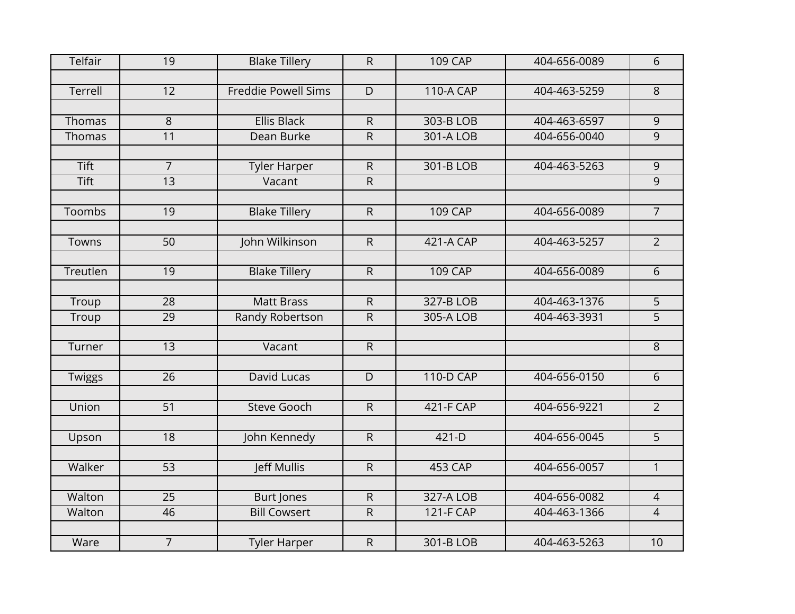| Telfair       | 19              | <b>Blake Tillery</b>       | $\overline{R}$ | <b>109 CAP</b>   | 404-656-0089 | $\overline{6}$      |
|---------------|-----------------|----------------------------|----------------|------------------|--------------|---------------------|
|               |                 |                            |                |                  |              |                     |
| Terrell       | $\overline{12}$ | <b>Freddie Powell Sims</b> | $\overline{D}$ | <b>110-A CAP</b> | 404-463-5259 | $\overline{8}$      |
|               |                 |                            |                |                  |              |                     |
| Thomas        | $\overline{8}$  | <b>Ellis Black</b>         | $\overline{R}$ | 303-B LOB        | 404-463-6597 | $\overline{9}$      |
| Thomas        | 11              | Dean Burke                 | $\overline{R}$ | 301-A LOB        | 404-656-0040 | $\overline{9}$      |
|               |                 |                            |                |                  |              |                     |
| <b>Tift</b>   | $\overline{7}$  | <b>Tyler Harper</b>        | $\overline{R}$ | 301-B LOB        | 404-463-5263 | $\overline{9}$      |
| <b>Tift</b>   | $\overline{13}$ | Vacant                     | $\mathsf{R}$   |                  |              | $\overline{9}$      |
|               |                 |                            |                |                  |              |                     |
| <b>Toombs</b> | $\overline{19}$ | <b>Blake Tillery</b>       | $\overline{R}$ | <b>109 CAP</b>   | 404-656-0089 | $\overline{7}$      |
|               |                 |                            |                |                  |              |                     |
| Towns         | 50              | John Wilkinson             | $\overline{R}$ | <b>421-A CAP</b> | 404-463-5257 | $\overline{2}$      |
|               |                 |                            |                |                  |              |                     |
| Treutlen      | 19              | <b>Blake Tillery</b>       | $\overline{R}$ | <b>109 CAP</b>   | 404-656-0089 | $\overline{6}$      |
| Troup         | 28              | <b>Matt Brass</b>          | $\overline{R}$ | 327-B LOB        | 404-463-1376 | $\overline{5}$      |
| Troup         | $\overline{29}$ | <b>Randy Robertson</b>     | $\overline{R}$ | 305-A LOB        | 404-463-3931 | $\overline{5}$      |
|               |                 |                            |                |                  |              |                     |
| Turner        | $\overline{13}$ | Vacant                     | $\overline{R}$ |                  |              | $\overline{\infty}$ |
|               |                 |                            |                |                  |              |                     |
| Twiggs        | $\overline{26}$ | David Lucas                | $\overline{D}$ | <b>110-D CAP</b> | 404-656-0150 | $\overline{6}$      |
|               |                 |                            |                |                  |              |                     |
| Union         | 51              | <b>Steve Gooch</b>         | $\overline{R}$ | 421-F CAP        | 404-656-9221 | $\overline{2}$      |
|               |                 |                            |                |                  |              |                     |
| Upson         | 18              | John Kennedy               | $\overline{R}$ | $421-D$          | 404-656-0045 | $\overline{5}$      |
|               |                 |                            |                |                  |              |                     |
| Walker        | $\overline{53}$ | Jeff Mullis                | $\overline{R}$ | <b>453 CAP</b>   | 404-656-0057 | $\overline{1}$      |
|               |                 |                            |                |                  |              |                     |
| Walton        | $\overline{25}$ | <b>Burt Jones</b>          | $\overline{R}$ | 327-A LOB        | 404-656-0082 | $\overline{4}$      |
| Walton        | 46              | <b>Bill Cowsert</b>        | $\overline{R}$ | <b>121-F CAP</b> | 404-463-1366 | $\overline{4}$      |
|               |                 |                            |                |                  |              |                     |
| Ware          | $\overline{7}$  | <b>Tyler Harper</b>        | $\overline{R}$ | 301-B LOB        | 404-463-5263 | 10                  |